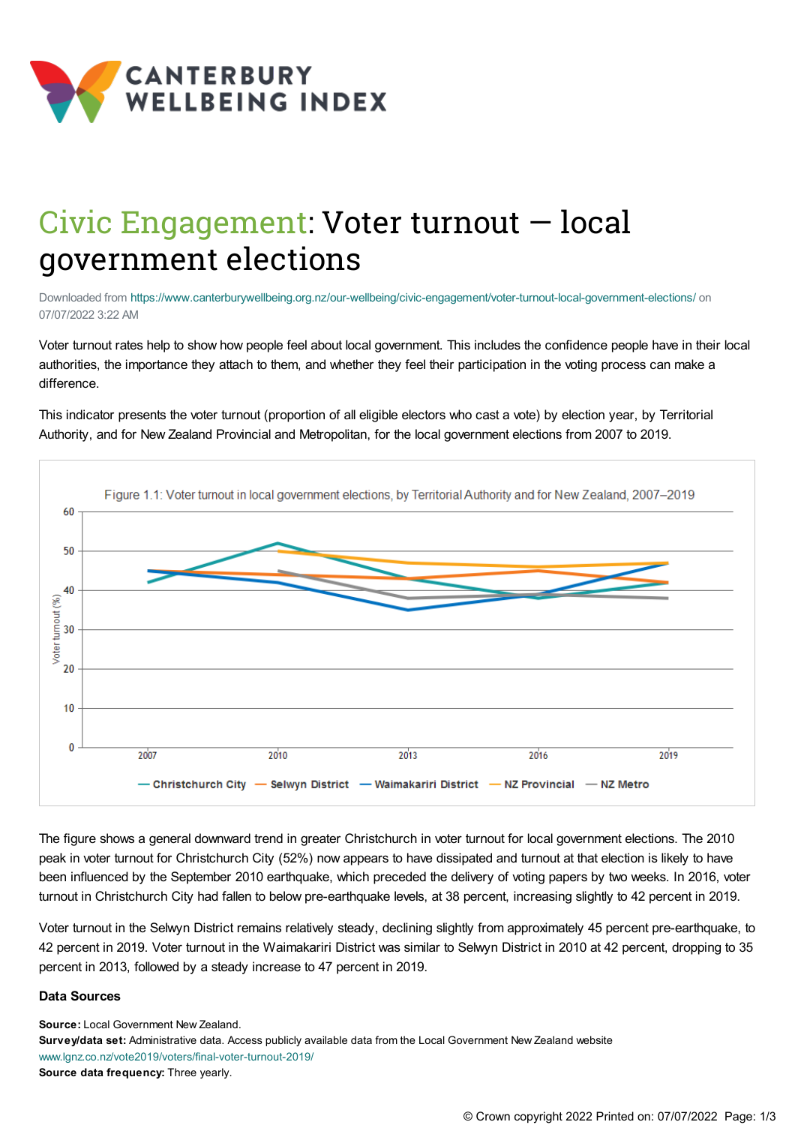

## Civic Engagement: Voter turnout — local government elections

Downloaded from <https://www.canterburywellbeing.org.nz/our-wellbeing/civic-engagement/voter-turnout-local-government-elections/> on 07/07/2022 3:22 AM

Voter turnout rates help to show how people feel about local government. This includes the confidence people have in their local authorities, the importance they attach to them, and whether they feel their participation in the voting process can make a difference.

This indicator presents the voter turnout (proportion of all eligible electors who cast a vote) by election year, by Territorial Authority, and for New Zealand Provincial and Metropolitan, for the local government elections from 2007 to 2019.



The figure shows a general downward trend in greater Christchurch in voter turnout for local government elections. The 2010 peak in voter turnout for Christchurch City (52%) now appears to have dissipated and turnout at that election is likely to have been influenced by the September 2010 earthquake, which preceded the delivery of voting papers by two weeks. In 2016, voter turnout in Christchurch City had fallen to below pre-earthquake levels, at 38 percent, increasing slightly to 42 percent in 2019.

Voter turnout in the Selwyn District remains relatively steady, declining slightly from approximately 45 percent pre-earthquake, to 42 percent in 2019. Voter turnout in the Waimakariri District was similar to Selwyn District in 2010 at 42 percent, dropping to 35 percent in 2013, followed by a steady increase to 47 percent in 2019.

## **Data Sources**

**Source:** Local Government New Zealand. **Survey/data set:** Administrative data. Access publicly available data from the Local Government New Zealand website [www.lgnz.co.nz/vote2019/voters/final-voter-turnout-2019/](https://www.lgnz.co.nz/vote2019/voters/final-voter-turnout-2019/) **Source data frequency:** Three yearly.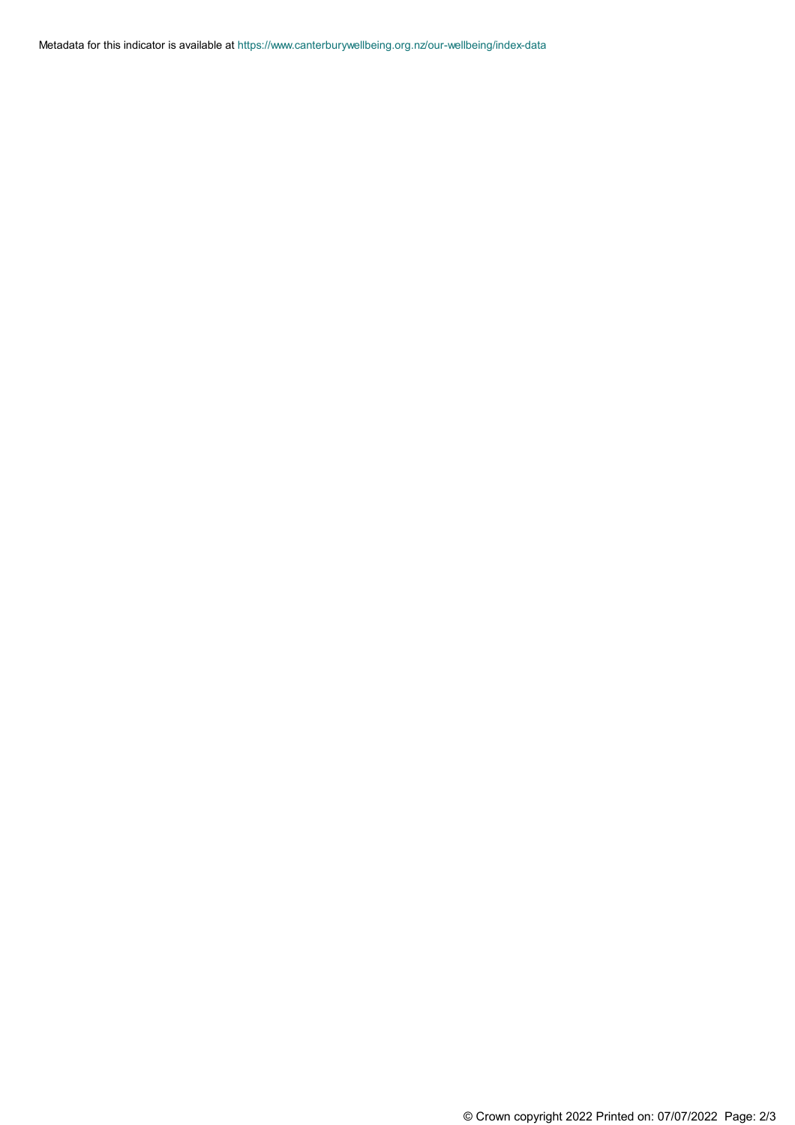Metadata for this indicator is available at [https://www.canterburywellbeing.org.nz/our-wellbeing/index-data](https://www.canterburywellbeing.org.nz/our-wellbeing/site-information/index-data)